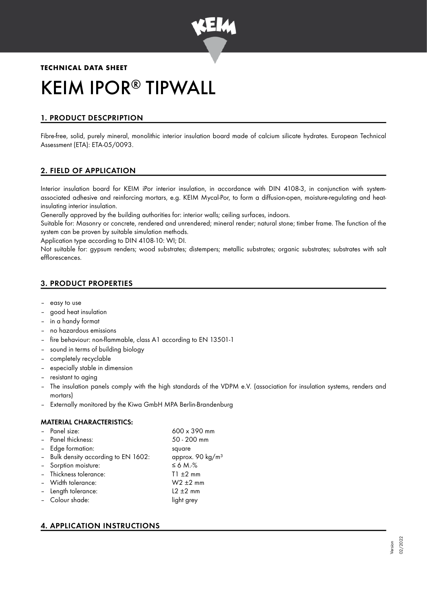

# **TECHNICAL DATA SHEET** KEIM IPOR<sup>®</sup> TIPWALL

# 1. PRODUCT DESCPRIPTION

Fibre-free, solid, purely mineral, monolithic interior insulation board made of calcium silicate hydrates. European Technical Assessment (ETA): ETA-05/0093.

## 2. FIELD OF APPLICATION

Interior insulation board for KEIM iPor interior insulation, in accordance with DIN 4108-3, in conjunction with systemassociated adhesive and reinforcing mortars, e.g. KEIM Mycal-Por, to form a diffusion-open, moisture-regulating and heatinsulating interior insulation.

Generally approved by the building authorities for: interior walls; ceiling surfaces, indoors.

Suitable for: Masonry or concrete, rendered and unrendered; mineral render; natural stone; timber frame. The function of the system can be proven by suitable simulation methods.

Application type according to DIN 4108-10: WI; DI.

Not suitable for: gypsum renders; wood substrates; distempers; metallic substrates; organic substrates; substrates with salt efflorescences.

## 3. PRODUCT PROPERTIES

- easy to use
- good heat insulation
- in a handy format
- no hazardous emissions
- fire behaviour: non-flammable, class A1 according to EN 13501-1
- sound in terms of building biology
- completely recyclable
- especially stable in dimension
- resistant to aging
- The insulation panels comply with the high standards of the VDPM e.V. (association for insulation systems, renders and mortars)
- Externally monitored by the Kiwa GmbH MPA Berlin-Brandenburg

## MATERIAL CHARACTERISTICS:

| - Panel size:                        | $600 \times 390$ mm          |
|--------------------------------------|------------------------------|
| - Panel thickness:                   | 50 - 200 mm                  |
| - Edge formation:                    | square                       |
| - Bulk density according to EN 1602: | approx. 90 kg/m <sup>3</sup> |
| - Sorption moisture:                 | $\leq 6$ M.-%                |
| - Thickness tolerance:               | $T1 \pm 2$ mm                |
| - Width tolerance:                   | $W2 \pm 2$ mm                |
| - Length tolerance:                  | $L2 \pm 2$ mm                |
| - Colour shade:                      | light grey                   |
|                                      |                              |

# 4. APPLICATION INSTRUCTIONS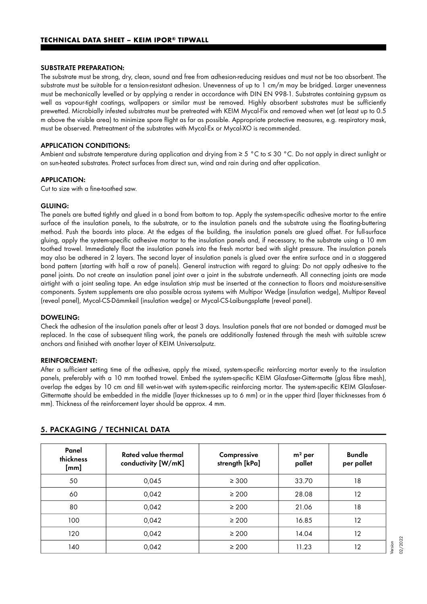#### SUBSTRATE PREPARATION:

The substrate must be strong, dry, clean, sound and free from adhesion-reducing residues and must not be too absorbent. The substrate must be suitable for a tension-resistant adhesion. Unevenness of up to 1 cm/m may be bridged. Larger unevenness must be mechanically levelled or by applying a render in accordance with DIN EN 998-1. Substrates containing gypsum as well as vapour-tight coatings, wallpapers or similar must be removed. Highly absorbent substrates must be sufficiently prewetted. Microbially infested substrates must be pretreated with KEIM Mycal-Fix and removed when wet (at least up to 0.5 m above the visible area) to minimize spore flight as far as possible. Appropriate protective measures, e.g. respiratory mask, must be observed. Pretreatment of the substrates with Mycal-Ex or Mycal-XO is recommended.

#### APPLICATION CONDITIONS:

Ambient and substrate temperature during application and drying from ≥ 5 °C to ≤ 30 °C. Do not apply in direct sunlight or on sun-heated substrates. Protect surfaces from direct sun, wind and rain during and after application.

#### APPLICATION:

Cut to size with a fine-toothed saw.

#### GLUING:

The panels are butted tightly and glued in a bond from bottom to top. Apply the system-specific adhesive mortar to the entire surface of the insulation panels, to the substrate, or to the insulation panels and the substrate using the floating-buttering method. Push the boards into place. At the edges of the building, the insulation panels are glued offset. For full-surface gluing, apply the system-specific adhesive mortar to the insulation panels and, if necessary, to the substrate using a 10 mm toothed trowel. Immediately float the insulation panels into the fresh mortar bed with slight pressure. The insulation panels may also be adhered in 2 layers. The second layer of insulation panels is glued over the entire surface and in a staggered bond pattern (starting with half a row of panels). General instruction with regard to gluing: Do not apply adhesive to the panel joints. Do not create an insulation panel joint over a joint in the substrate underneath. All connecting joints are made airtight with a joint sealing tape. An edge insulation strip must be inserted at the connection to floors and moisture-sensitive components. System supplements are also possible across systems with Multipor Wedge (insulation wedge), Multipor Reveal (reveal panel), Mycal-CS-Dämmkeil (insulation wedge) or Mycal-CS-Laibungsplatte (reveal panel).

#### DOWELING:

Check the adhesion of the insulation panels after at least 3 days. Insulation panels that are not bonded or damaged must be replaced. In the case of subsequent tiling work, the panels are additionally fastened through the mesh with suitable screw anchors and finished with another layer of KEIM Universalputz.

#### REINFORCEMENT:

After a sufficient setting time of the adhesive, apply the mixed, system-specific reinforcing mortar evenly to the insulation panels, preferably with a 10 mm toothed trowel. Embed the system-specific KEIM Glasfaser-Gittermatte (glass fibre mesh), overlap the edges by 10 cm and fill wet-in-wet with system-specific reinforcing mortar. The system-specific KEIM Glasfaser-Gittermatte should be embedded in the middle (layer thicknesses up to 6 mm) or in the upper third (layer thicknesses from 6 mm). Thickness of the reinforcement layer should be approx. 4 mm.

| Panel<br>thickness<br>[mm] | Rated value thermal<br>conductivity [W/mK] | Compressive<br>strength [kPa] | $m2$ per<br>pallet | <b>Bundle</b><br>per pallet |
|----------------------------|--------------------------------------------|-------------------------------|--------------------|-----------------------------|
| 50                         | 0,045                                      | $\geq 300$                    | 33.70              | 18                          |
| 60                         | 0,042                                      | $\geq 200$                    | 28.08              | 12                          |
| 80                         | 0,042                                      | $\geq 200$                    | 21.06              | 18                          |
| 100                        | 0,042                                      | $\geq 200$                    | 16.85              | 12                          |
| 120                        | 0,042                                      | $\geq 200$                    | 14.04              | 12                          |
| 140                        | 0,042                                      | $\geq 200$                    | 11.23              | 12                          |

#### 5. PACKAGING / TECHNICAL DATA